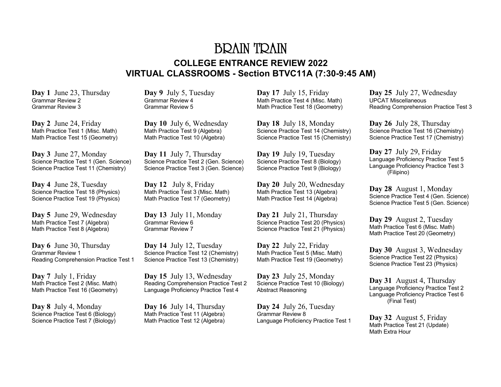# BRAIN TRAIN **COLLEGE ENTRANCE REVIEW 2022 VIRTUAL CLASSROOMS - Section BTVC11A (7:30-9:45 AM)**

**Day 1** June 23, Thursday Grammar Review 2 Grammar Review 3

**Day 2** June 24, Friday Math Practice Test 1 (Misc. Math) Math Practice Test 15 (Geometry)

**Day 3** June 27, Monday Science Practice Test 1 (Gen. Science) Science Practice Test 11 (Chemistry)

**Day 4** June 28, Tuesday Science Practice Test 18 (Physics) Science Practice Test 19 (Physics)

**Day 5** June 29, Wednesday Math Practice Test 7 (Algebra) Math Practice Test 8 (Algebra)

**Day 6** June 30, Thursday Grammar Review 1 Reading Comprehension Practice Test 1

**Day 7** July 1, Friday Math Practice Test 2 (Misc. Math) Math Practice Test 16 (Geometry)

**Day 8** July 4, Monday Science Practice Test 6 (Biology) Science Practice Test 7 (Biology) **Day 9** July 5, Tuesday Grammar Review 4 Grammar Review 5

**Day 10** July 6, Wednesday Math Practice Test 9 (Algebra) Math Practice Test 10 (Algebra)

**Day 11** July 7, Thursday Science Practice Test 2 (Gen. Science) Science Practice Test 3 (Gen. Science)

**Day 12** July 8, Friday Math Practice Test 3 (Misc. Math) Math Practice Test 17 (Geometry)

**Day 13** July 11, Monday Grammar Review 6 Grammar Review 7

**Day 14** July 12, Tuesday Science Practice Test 12 (Chemistry) Science Practice Test 13 (Chemistry)

**Day 15** July 13, Wednesday Reading Comprehension Practice Test 2 Language Proficiency Practice Test 4

**Day 16** July 14, Thursday Math Practice Test 11 (Algebra) Math Practice Test 12 (Algebra) **Day 17** July 15, Friday Math Practice Test 4 (Misc. Math) Math Practice Test 18 (Geometry)

**Day 18** July 18, Monday Science Practice Test 14 (Chemistry) Science Practice Test 15 (Chemistry)

**Day 19** July 19, Tuesday Science Practice Test 8 (Biology) Science Practice Test 9 (Biology)

**Day 20** July 20, Wednesday Math Practice Test 13 (Algebra) Math Practice Test 14 (Algebra)

**Day 21** July 21, Thursday Science Practice Test 20 (Physics) Science Practice Test 21 (Physics)

**Day 22** July 22, Friday Math Practice Test 5 (Misc. Math) Math Practice Test 19 (Geometry)

**Day 23** July 25, Monday Science Practice Test 10 (Biology) Abstract Reasoning

**Day 24** July 26, Tuesday Grammar Review 8 Language Proficiency Practice Test 1 **Day 25** July 27, Wednesday UPCAT Miscellaneous Reading Comprehension Practice Test 3

**Day 26** July 28, Thursday Science Practice Test 16 (Chemistry) Science Practice Test 17 (Chemistry)

**Day 27** July 29, Friday Language Proficiency Practice Test 5 Language Proficiency Practice Test 3 (Filipino)

**Day 28** August 1, Monday Science Practice Test 4 (Gen. Science) Science Practice Test 5 (Gen. Science)

**Day 29** August 2, Tuesday Math Practice Test 6 (Misc. Math) Math Practice Test 20 (Geometry)

**Day 30** August 3, Wednesday Science Practice Test 22 (Physics) Science Practice Test 23 (Physics)

**Day 31** August 4, Thursday Language Proficiency Practice Test 2 Language Proficiency Practice Test 6 (Final Test)

**Day 32** August 5, Friday Math Practice Test 21 (Update) Math Extra Hour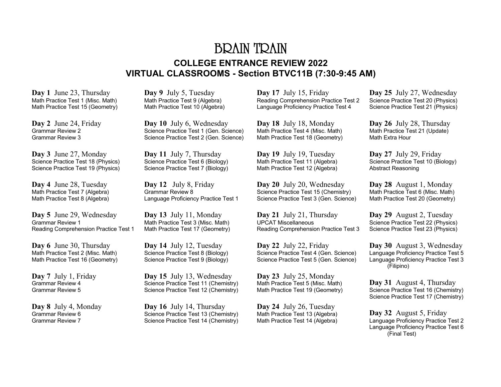# BRAIN TRAIN **COLLEGE ENTRANCE REVIEW 2022 VIRTUAL CLASSROOMS - Section BTVC11B (7:30-9:45 AM)**

**Day 1** June 23, Thursday Math Practice Test 1 (Misc. Math) Math Practice Test 15 (Geometry)

**Day 2** June 24, Friday Grammar Review 2 Grammar Review 3

**Day 3** June 27, Monday Science Practice Test 18 (Physics) Science Practice Test 19 (Physics)

**Day 4** June 28, Tuesday Math Practice Test 7 (Algebra) Math Practice Test 8 (Algebra)

**Day 5** June 29, Wednesday Grammar Review 1 Reading Comprehension Practice Test 1

**Day 6** June 30, Thursday Math Practice Test 2 (Misc. Math) Math Practice Test 16 (Geometry)

**Day 7** July 1, Friday Grammar Review 4 Grammar Review 5

**Day 8** July 4, Monday Grammar Review 6 Grammar Review 7

**Day 9** July 5, Tuesday Math Practice Test 9 (Algebra) Math Practice Test 10 (Algebra)

**Day 10** July 6, Wednesday Science Practice Test 1 (Gen. Science) Science Practice Test 2 (Gen. Science)

**Day 11** July 7, Thursday Science Practice Test 6 (Biology) Science Practice Test 7 (Biology)

**Day 12** July 8, Friday Grammar Review 8 Language Proficiency Practice Test 1

**Day 13** July 11, Monday Math Practice Test 3 (Misc. Math) Math Practice Test 17 (Geometry)

**Day 14** July 12, Tuesday Science Practice Test 8 (Biology) Science Practice Test 9 (Biology)

**Day 15** July 13, Wednesday Science Practice Test 11 (Chemistry) Science Practice Test 12 (Chemistry)

**Day 16** July 14, Thursday Science Practice Test 13 (Chemistry) Science Practice Test 14 (Chemistry) **Day 17** July 15, Friday Reading Comprehension Practice Test 2 Language Proficiency Practice Test 4

**Day 18** July 18, Monday Math Practice Test 4 (Misc. Math) Math Practice Test 18 (Geometry)

**Day 19** July 19, Tuesday Math Practice Test 11 (Algebra) Math Practice Test 12 (Algebra)

**Day 20** July 20, Wednesday Science Practice Test 15 (Chemistry) Science Practice Test 3 (Gen. Science)

**Day 21** July 21, Thursday UPCAT Miscellaneous Reading Comprehension Practice Test 3

**Day 22** July 22, Friday Science Practice Test 4 (Gen. Science) Science Practice Test 5 (Gen. Science)

**Day 23** July 25, Monday Math Practice Test 5 (Misc. Math) Math Practice Test 19 (Geometry)

**Day 24** July 26, Tuesday Math Practice Test 13 (Algebra) Math Practice Test 14 (Algebra) **Day 25** July 27, Wednesday Science Practice Test 20 (Physics) Science Practice Test 21 (Physics)

**Day 26** July 28, Thursday Math Practice Test 21 (Update) Math Extra Hour

**Day 27** July 29, Friday Science Practice Test 10 (Biology) Abstract Reasoning

**Day 28** August 1, Monday Math Practice Test 6 (Misc. Math) Math Practice Test 20 (Geometry)

**Day 29** August 2, Tuesday Science Practice Test 22 (Physics) Science Practice Test 23 (Physics)

**Day 30** August 3, Wednesday Language Proficiency Practice Test 5 Language Proficiency Practice Test 3 (Filipino)

**Day 31** August 4, Thursday Science Practice Test 16 (Chemistry) Science Practice Test 17 (Chemistry)

**Day 32** August 5, Friday Language Proficiency Practice Test 2 Language Proficiency Practice Test 6 (Final Test)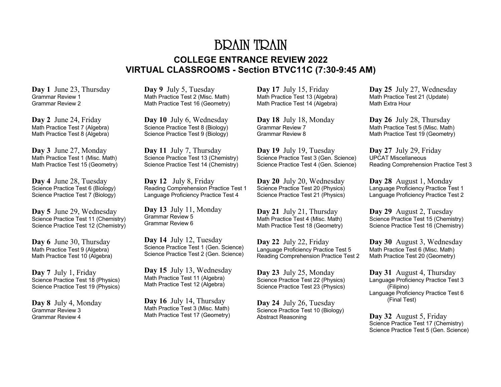# BRAIN TRAIN **COLLEGE ENTRANCE REVIEW 2022 VIRTUAL CLASSROOMS - Section BTVC11C (7:30-9:45 AM)**

**Day 1** June 23, Thursday Grammar Review 1 Grammar Review 2

**Day 2** June 24, Friday Math Practice Test 7 (Algebra) Math Practice Test 8 (Algebra)

**Day 3** June 27, Monday Math Practice Test 1 (Misc. Math) Math Practice Test 15 (Geometry)

**Day 4** June 28, Tuesday Science Practice Test 6 (Biology) Science Practice Test 7 (Biology)

**Day 5** June 29, Wednesday Science Practice Test 11 (Chemistry) Science Practice Test 12 (Chemistry)

**Day 6** June 30, Thursday Math Practice Test 9 (Algebra) Math Practice Test 10 (Algebra)

**Day 7** July 1, Friday Science Practice Test 18 (Physics) Science Practice Test 19 (Physics)

**Day 8** July 4, Monday Grammar Review 3 Grammar Review 4

**Day 9** July 5, Tuesday Math Practice Test 2 (Misc. Math) Math Practice Test 16 (Geometry)

**Day 10** July 6, Wednesday Science Practice Test 8 (Biology) Science Practice Test 9 (Biology)

**Day 11** July 7, Thursday Science Practice Test 13 (Chemistry) Science Practice Test 14 (Chemistry)

**Day 12** July 8, Friday Reading Comprehension Practice Test 1 Language Proficiency Practice Test 4

**Day 13** July 11, Monday Grammar Review 5 Grammar Review 6

**Day 14** July 12, Tuesday Science Practice Test 1 (Gen. Science) Science Practice Test 2 (Gen. Science)

**Day 15** July 13, Wednesday Math Practice Test 11 (Algebra) Math Practice Test 12 (Algebra)

**Day 16** July 14, Thursday Math Practice Test 3 (Misc. Math) Math Practice Test 17 (Geometry)

**Day 17** July 15, Friday Math Practice Test 13 (Algebra) Math Practice Test 14 (Algebra)

**Day 18** July 18, Monday Grammar Review 7 Grammar Review 8

**Day 19** July 19, Tuesday Science Practice Test 3 (Gen. Science) Science Practice Test 4 (Gen. Science)

**Day 20** July 20, Wednesday Science Practice Test 20 (Physics) Science Practice Test 21 (Physics)

**Day 21** July 21, Thursday Math Practice Test 4 (Misc. Math) Math Practice Test 18 (Geometry)

**Day 22** July 22, Friday Language Proficiency Practice Test 5 Reading Comprehension Practice Test 2

**Day 23** July 25, Monday Science Practice Test 22 (Physics) Science Practice Test 23 (Physics)

**Day 24** July 26, Tuesday Science Practice Test 10 (Biology) Abstract Reasoning

**Day 25** July 27, Wednesday Math Practice Test 21 (Update) Math Extra Hour

**Day 26** July 28, Thursday Math Practice Test 5 (Misc. Math) Math Practice Test 19 (Geometry)

**Day 27** July 29, Friday UPCAT Miscellaneous Reading Comprehension Practice Test 3

**Day 28** August 1, Monday Language Proficiency Practice Test 1 Language Proficiency Practice Test 2

**Day 29** August 2, Tuesday Science Practice Test 15 (Chemistry) Science Practice Test 16 (Chemistry)

**Day 30** August 3, Wednesday Math Practice Test 6 (Misc. Math) Math Practice Test 20 (Geometry)

**Day 31** August 4, Thursday Language Proficiency Practice Test 3 (Filipino) Language Proficiency Practice Test 6 (Final Test)

**Day 32** August 5, Friday Science Practice Test 17 (Chemistry) Science Practice Test 5 (Gen. Science)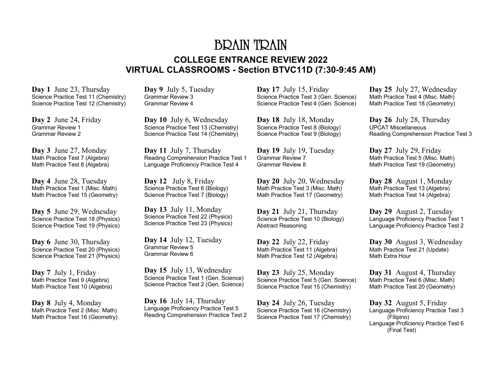# BRAIN TRAIN **COLLEGE ENTRANCE REVIEW 2022 VIRTUAL CLASSROOMS - Section BTVC11D (7:30-9:45 AM)**

**Day 1** June 23, Thursday Science Practice Test 11 (Chemistry) Science Practice Test 12 (Chemistry)

**Day 2** June 24, Friday Grammar Review 1 Grammar Review 2

**Day 3** June 27, Monday Math Practice Test 7 (Algebra) Math Practice Test 8 (Algebra)

**Day 4** June 28, Tuesday Math Practice Test 1 (Misc. Math) Math Practice Test 15 (Geometry)

**Day 5** June 29, Wednesday Science Practice Test 18 (Physics) Science Practice Test 19 (Physics)

**Day 6** June 30, Thursday Science Practice Test 20 (Physics) Science Practice Test 21 (Physics)

**Day 7** July 1, Friday Math Practice Test 9 (Algebra) Math Practice Test 10 (Algebra)

**Day 8** July 4, Monday Math Practice Test 2 (Misc. Math) Math Practice Test 16 (Geometry) **Day 9** July 5, Tuesday Grammar Review 3 Grammar Review 4

**Day 10** July 6, Wednesday Science Practice Test 13 (Chemistry) Science Practice Test 14 (Chemistry)

**Day 11** July 7, Thursday Reading Comprehension Practice Test 1 Language Proficiency Practice Test 4

**Day 12** July 8, Friday Science Practice Test 6 (Biology) Science Practice Test 7 (Biology)

**Day 13** July 11, Monday Science Practice Test 22 (Physics) Science Practice Test 23 (Physics)

**Day 14** July 12, Tuesday Grammar Review 5 Grammar Review 6

**Day 15** July 13, Wednesday Science Practice Test 1 (Gen. Science) Science Practice Test 2 (Gen. Science)

**Day 16** July 14, Thursday Language Proficiency Practice Test 5 Reading Comprehension Practice Test 2

**Day 17** July 15, Friday Science Practice Test 3 (Gen. Science) Science Practice Test 4 (Gen. Science)

**Day 18** July 18, Monday Science Practice Test 8 (Biology) Science Practice Test 9 (Biology)

**Day 19** July 19, Tuesday Grammar Review 7 Grammar Review 8

**Day 20** July 20, Wednesday Math Practice Test 3 (Misc. Math) Math Practice Test 17 (Geometry)

**Day 21** July 21, Thursday Science Practice Test 10 (Biology) Abstract Reasoning

**Day 22** July 22, Friday Math Practice Test 11 (Algebra) Math Practice Test 12 (Algebra)

**Day 23** July 25, Monday Science Practice Test 5 (Gen. Science) Science Practice Test 15 (Chemistry)

**Day 24** July 26, Tuesday Science Practice Test 16 (Chemistry) Science Practice Test 17 (Chemistry)

**Day 25** July 27, Wednesday Math Practice Test 4 (Misc. Math) Math Practice Test 18 (Geometry)

**Day 26** July 28, Thursday UPCAT Miscellaneous Reading Comprehension Practice Test 3

**Day 27** July 29, Friday Math Practice Test 5 (Misc. Math) Math Practice Test 19 (Geometry)

**Day 28** August 1, Monday Math Practice Test 13 (Algebra) Math Practice Test 14 (Algebra)

**Day 29** August 2, Tuesday Language Proficiency Practice Test 1 Language Proficiency Practice Test 2

**Day 30** August 3, Wednesday Math Practice Test 21 (Update) Math Extra Hour

**Day 31** August 4, Thursday Math Practice Test 6 (Misc. Math) Math Practice Test 20 (Geometry)

**Day 32** August 5, Friday Language Proficiency Practice Test 3 (Filipino) Language Proficiency Practice Test 6 (Final Test)